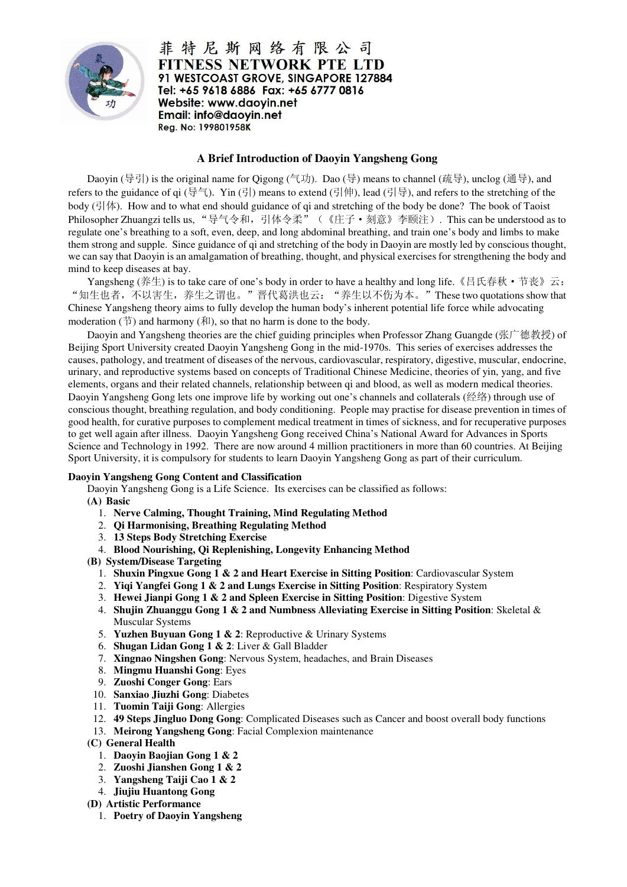

菲特尼斯网络有限公司 **FITNESS NETWORK PTE LTD** 91 WESTCOAST GROVE, SINGAPORE 127884 Tel: +65 9618 6886 Fax: +65 6777 0816 Website: www.daoyin.net Email: info@daovin.net Reg. No: 199801958K

## **A Brief Introduction of Daoyin Yangsheng Gong**

Daoyin (导引) is the original name for Qigong (气功). Dao (导) means to channel (疏导), unclog (通导), and refers to the guidance of qi (导气). Yin (引) means to extend (引伸), lead (引导), and refers to the stretching of the body (引体). How and to what end should guidance of qi and stretching of the body be done? The book of Taoist Philosopher Zhuangzi tells us, "导气令和,引体令柔"(《庄子·刻意》李颐注). This can be understood as to regulate one's breathing to a soft, even, deep, and long abdominal breathing, and train one's body and limbs to make them strong and supple. Since guidance of qi and stretching of the body in Daoyin are mostly led by conscious thought, we can say that Daoyin is an amalgamation of breathing, thought, and physical exercises for strengthening the body and mind to keep diseases at bay.

Yangsheng (养生) is to take care of one's body in order to have a healthy and long life. 《吕氏春秋 • 节丧》云: "知生也者,不以害生,养生之谓也。"晋代葛洪也云: "养生以不伤为本。"These two quotations show that Chinese Yangsheng theory aims to fully develop the human body's inherent potential life force while advocating moderation  $(\vec{\uparrow})$  and harmony  $(\vec{\uparrow})$ , so that no harm is done to the body.

Daoyin and Yangsheng theories are the chief guiding principles when Professor Zhang Guangde (张广德教授) of Beijing Sport University created Daoyin Yangsheng Gong in the mid-1970s. This series of exercises addresses the causes, pathology, and treatment of diseases of the nervous, cardiovascular, respiratory, digestive, muscular, endocrine, urinary, and reproductive systems based on concepts of Traditional Chinese Medicine, theories of yin, yang, and five elements, organs and their related channels, relationship between qi and blood, as well as modern medical theories. Daoyin Yangsheng Gong lets one improve life by working out one's channels and collaterals (经络) through use of conscious thought, breathing regulation, and body conditioning. People may practise for disease prevention in times of good health, for curative purposes to complement medical treatment in times of sickness, and for recuperative purposes to get well again after illness. Daoyin Yangsheng Gong received China's National Award for Advances in Sports Science and Technology in 1992. There are now around 4 million practitioners in more than 60 countries. At Beijing Sport University, it is compulsory for students to learn Daoyin Yangsheng Gong as part of their curriculum.

## **Daoyin Yangsheng Gong Content and Classification**

Daoyin Yangsheng Gong is a Life Science. Its exercises can be classified as follows:

- **(A) Basic** 
	- 1. **Nerve Calming, Thought Training, Mind Regulating Method**
	- 2. **Qi Harmonising, Breathing Regulating Method**
	- 3. **13 Steps Body Stretching Exercise**
	- 4. **Blood Nourishing, Qi Replenishing, Longevity Enhancing Method**
- **(B) System/Disease Targeting** 
	- 1. **Shuxin Pingxue Gong 1 & 2 and Heart Exercise in Sitting Position**: Cardiovascular System
	- 2. **Yiqi Yangfei Gong 1 & 2 and Lungs Exercise in Sitting Position**: Respiratory System
	- 3. **Hewei Jianpi Gong 1 & 2 and Spleen Exercise in Sitting Position**: Digestive System
	- 4. **Shujin Zhuanggu Gong 1 & 2 and Numbness Alleviating Exercise in Sitting Position**: Skeletal & Muscular Systems
	- 5. **Yuzhen Buyuan Gong 1 & 2**: Reproductive & Urinary Systems
	- 6. **Shugan Lidan Gong 1 & 2**: Liver & Gall Bladder
	- 7. **Xingnao Ningshen Gong**: Nervous System, headaches, and Brain Diseases
	- 8. **Mingmu Huanshi Gong**: Eyes
	- 9. **Zuoshi Conger Gong**: Ears
- 10. **Sanxiao Jiuzhi Gong**: Diabetes
- 11. **Tuomin Taiji Gong**: Allergies
- 12. **49 Steps Jingluo Dong Gong**: Complicated Diseases such as Cancer and boost overall body functions
- 13. **Meirong Yangsheng Gong**: Facial Complexion maintenance
- **(C) General Health** 
	- 1. **Daoyin Baojian Gong 1 & 2**
	- 2. **Zuoshi Jianshen Gong 1 & 2**
	- 3. **Yangsheng Taiji Cao 1 & 2**
	- 4. **Jiujiu Huantong Gong**
- **(D) Artistic Performance** 
	- 1. **Poetry of Daoyin Yangsheng**